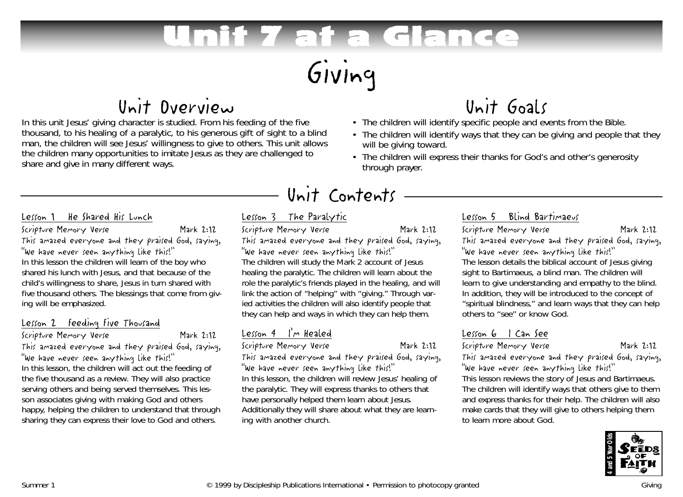# Unit 7 at a Glance

# Giving

# Unit Overview

In this unit Jesus' giving character is studied. From his feeding of the five thousand, to his healing of a paralytic, to his generous gift of sight to a blind man, the children will see Jesus' willingness to give to others. This unit allows the children many opportunities to imitate Jesus as they are challenged to share and give in many different ways.

# Unit Goals • The children will identify specific people and events from the Bible.

- The children will identify ways that they can be giving and people that they will be giving toward.
- The children will express their thanks for God's and other's generosity through prayer.

# Unit Contents

#### Lesson 1 He Shared His Lunch

Scripture Memory Verse Mark 2:12 This amazed everyone and they praised God, saying, "We have never seen anything like this!" In this lesson the children will learn of the boy who shared his lunch with Jesus, and that because of the child's willingness to share, Jesus in turn shared with five thousand others. The blessings that come from giving will be emphasized.

#### Lesson 2 Feeding Five Thousand

Scripture Memory Verse Mark 2:12 This amazed everyone and they praised God, saying, "We have never seen anything like this!" In this lesson, the children will act out the feeding of the five thousand as a review. They will also practice serving others and being served themselves. This lesson associates giving with making God and others happy, helping the children to understand that through sharing they can express their love to God and others.

## Lesson 3 The Paralytic

Scripture Memory Verse Mark 2:12 This amazed everyone and they praised God, saying, "We have never seen anything like this!" The children will study the Mark 2 account of Jesus healing the paralytic. The children will learn about the role the paralytic's friends played in the healing, and will link the action of "helping" with "giving." Through varied activities the children will also identify people that they can help and ways in which they can help them.

## Lesson 4 I'm Healed

Scripture Memory Verse Mark 2:12

This amazed everyone and they praised God, saying, "We have never seen anything like this!" In this lesson, the children will review Jesus' healing of the paralytic. They will express thanks to others that

have personally helped them learn about Jesus. Additionally they will share about what they are learning with another church.

### Lesson 5 Blind Bartimaeus

Scripture Memory Verse Mark 2:12 This amazed everyone and they praised God, saying, "We have never seen anything like this!" The lesson details the biblical account of Jesus giving sight to Bartimaeus, a blind man. The children will learn to give understanding and empathy to the blind. In addition, they will be introduced to the concept of "spiritual blindness," and learn ways that they can help others to "see" or know God.

## Lesson 6 I Can See

#### Scripture Memory Verse Mark 2:12

This amazed everyone and they praised God, saying, "We have never seen anything like this!"

This lesson reviews the story of Jesus and Bartimaeus. The children will identify ways that others give to them and express thanks for their help. The children will also make cards that they will give to others helping them to learn more about God.